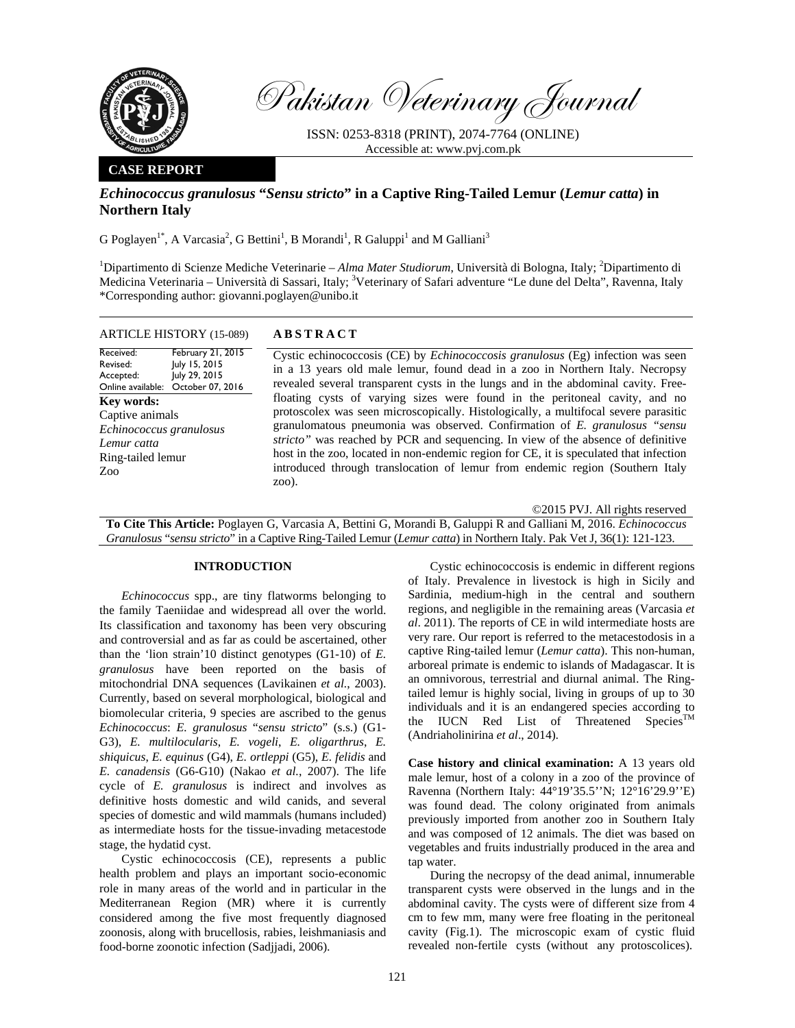

Pakistan Veterinary Journal

ISSN: 0253-8318 (PRINT), 2074-7764 (ONLINE) Accessible at: www.pvj.com.pk

## **CASE REPORT**

# *Echinococcus granulosus* **"***Sensu stricto***" in a Captive Ring-Tailed Lemur (***Lemur catta***) in Northern Italy**

G Poglayen<sup>1\*</sup>, A Varcasia<sup>2</sup>, G Bettini<sup>1</sup>, B Morandi<sup>1</sup>, R Galuppi<sup>1</sup> and M Galliani<sup>3</sup>

<sup>1</sup>Dipartimento di Scienze Mediche Veterinarie – Alma Mater Studiorum, Università di Bologna, Italy; <sup>2</sup>Dipartimento di Medicina Veterinaria – Università di Sassari, Italy; <sup>3</sup>Veterinary of Safari adventure "Le dune del Delta", Ravenna, Italy \*Corresponding author: giovanni.poglayen@unibo.it

| <b>ARTICLE HISTORY (15-089)</b>                                                                                                 | <b>ABSTRACT</b>                                                                                                                                                                                                                                                                                                                                                                                                                                                                                                                                                                                                                                                                                                                                                                           |
|---------------------------------------------------------------------------------------------------------------------------------|-------------------------------------------------------------------------------------------------------------------------------------------------------------------------------------------------------------------------------------------------------------------------------------------------------------------------------------------------------------------------------------------------------------------------------------------------------------------------------------------------------------------------------------------------------------------------------------------------------------------------------------------------------------------------------------------------------------------------------------------------------------------------------------------|
| February 21, 2015<br>Received:<br>July 15, 2015<br>Revised:<br>July 29, 2015<br>Accepted:<br>Online available: October 07, 2016 | Cystic echinococcosis (CE) by <i>Echinococcosis granulosus</i> (Eg) infection was seen<br>in a 13 years old male lemur, found dead in a zoo in Northern Italy. Necropsy<br>revealed several transparent cysts in the lungs and in the abdominal cavity. Free-<br>floating cysts of varying sizes were found in the peritoneal cavity, and no<br>protoscolex was seen microscopically. Histologically, a multifocal severe parasitic<br>granulomatous pneumonia was observed. Confirmation of E. granulosus "sensu<br>stricto" was reached by PCR and sequencing. In view of the absence of definitive<br>host in the zoo, located in non-endemic region for CE, it is speculated that infection<br>introduced through translocation of lemur from endemic region (Southern Italy<br>zoo). |
| Key words:<br>Captive animals<br>Echinococcus granulosus<br>Lemur catta<br>Ring-tailed lemur<br>Zoo <sup>-</sup>                |                                                                                                                                                                                                                                                                                                                                                                                                                                                                                                                                                                                                                                                                                                                                                                                           |

©2015 PVJ. All rights reserved

**To Cite This Article:** Poglayen G, Varcasia A, Bettini G, Morandi B, Galuppi R and Galliani M, 2016. *Echinococcus Granulosus* "*sensu stricto*" in a Captive Ring-Tailed Lemur (*Lemur catta*) in Northern Italy. Pak Vet J, 36(1): 121-123.

#### **INTRODUCTION**

*Echinococcus* spp., are tiny flatworms belonging to the family Taeniidae and widespread all over the world. Its classification and taxonomy has been very obscuring and controversial and as far as could be ascertained, other than the 'lion strain'10 distinct genotypes (G1-10) of *E. granulosus* have been reported on the basis of mitochondrial DNA sequences (Lavikainen *et al.*, 2003). Currently, based on several morphological, biological and biomolecular criteria, 9 species are ascribed to the genus *Echinococcus*: *E. granulosus* "*sensu stricto*" (s.s.) (G1- G3), *E. multilocularis*, *E. vogeli*, *E. oligarthrus*, *E. shiquicus*, *E. equinus* (G4), *E. ortleppi* (G5), *E. felidis* and *E. canadensis* (G6-G10) (Nakao *et al.*, 2007). The life cycle of *E. granulosus* is indirect and involves as definitive hosts domestic and wild canids, and several species of domestic and wild mammals (humans included) as intermediate hosts for the tissue-invading metacestode stage, the hydatid cyst.

Cystic echinococcosis (CE), represents a public health problem and plays an important socio-economic role in many areas of the world and in particular in the Mediterranean Region (MR) where it is currently considered among the five most frequently diagnosed zoonosis, along with brucellosis, rabies, leishmaniasis and food-borne zoonotic infection (Sadjjadi, 2006).

Cystic echinococcosis is endemic in different regions of Italy. Prevalence in livestock is high in Sicily and Sardinia, medium-high in the central and southern regions, and negligible in the remaining areas (Varcasia *et al*. 2011). The reports of CE in wild intermediate hosts are very rare. Our report is referred to the metacestodosis in a captive Ring-tailed lemur (*Lemur catta*). This non-human, arboreal primate is endemic to islands of Madagascar. It is an omnivorous, terrestrial and diurnal animal. The Ringtailed lemur is highly social, living in groups of up to 30 individuals and it is an endangered species according to the IUCN Red List of Threatened Species<sup>TM</sup> (Andriaholinirina *et al*., 2014).

**Case history and clinical examination:** A 13 years old male lemur, host of a colony in a zoo of the province of Ravenna (Northern Italy: 44°19'35.5''N; 12°16'29.9''E) was found dead. The colony originated from animals previously imported from another zoo in Southern Italy and was composed of 12 animals. The diet was based on vegetables and fruits industrially produced in the area and tap water.

During the necropsy of the dead animal, innumerable transparent cysts were observed in the lungs and in the abdominal cavity. The cysts were of different size from 4 cm to few mm, many were free floating in the peritoneal cavity (Fig.1). The microscopic exam of cystic fluid revealed non-fertile cysts (without any protoscolices).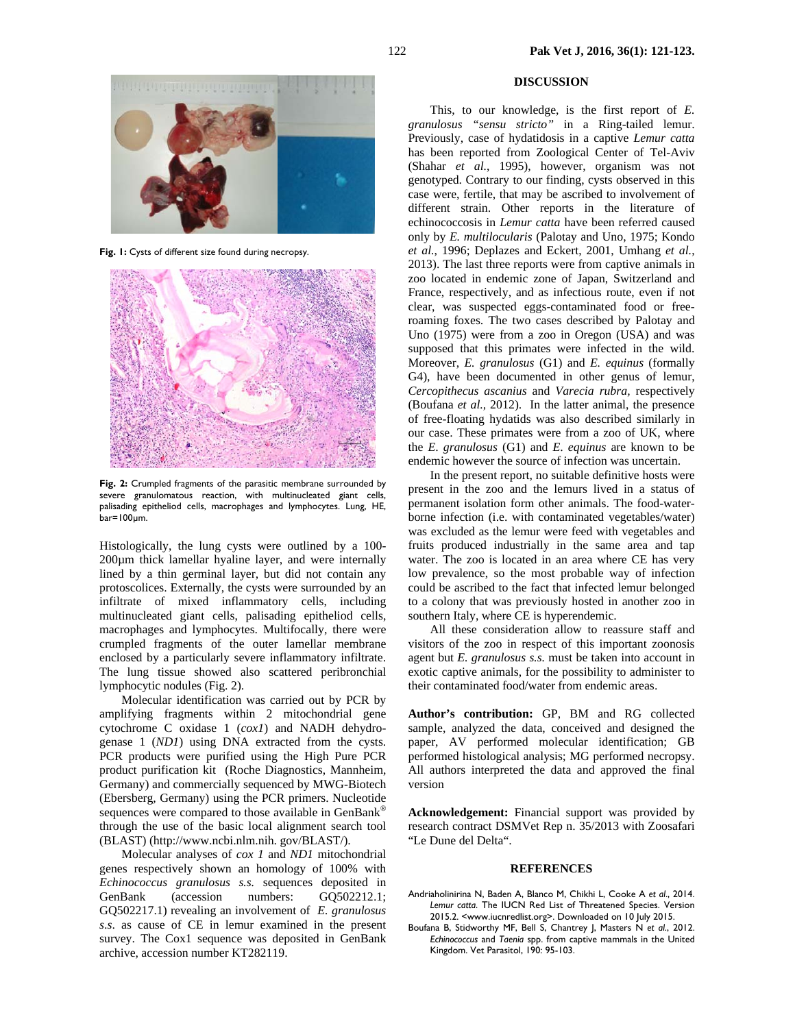

**Fig. 1:** Cysts of different size found during necropsy.



**Fig. 2:** Crumpled fragments of the parasitic membrane surrounded by severe granulomatous reaction, with multinucleated giant cells, palisading epitheliod cells, macrophages and lymphocytes. Lung, HE, bar=100µm.

Histologically, the lung cysts were outlined by a 100- 200µm thick lamellar hyaline layer, and were internally lined by a thin germinal layer, but did not contain any protoscolices. Externally, the cysts were surrounded by an infiltrate of mixed inflammatory cells, including multinucleated giant cells, palisading epitheliod cells, macrophages and lymphocytes. Multifocally, there were crumpled fragments of the outer lamellar membrane enclosed by a particularly severe inflammatory infiltrate. The lung tissue showed also scattered peribronchial lymphocytic nodules (Fig. 2).

Molecular identification was carried out by PCR by amplifying fragments within 2 mitochondrial gene cytochrome C oxidase 1 (*cox1*) and NADH dehydrogenase 1 (*ND1*) using DNA extracted from the cysts. PCR products were purified using the High Pure PCR product purification kit (Roche Diagnostics, Mannheim, Germany) and commercially sequenced by MWG-Biotech (Ebersberg, Germany) using the PCR primers. Nucleotide sequences were compared to those available in GenBank® through the use of the basic local alignment search tool (BLAST) (http://www.ncbi.nlm.nih. gov/BLAST/).

Molecular analyses of *cox 1* and *ND1* mitochondrial genes respectively shown an homology of 100% with *Echinococcus granulosus s.s.* sequences deposited in GenBank (accession numbers: GO502212.1; GQ502217.1) revealing an involvement of *E. granulosus s*.*s*. as cause of CE in lemur examined in the present survey. The Cox1 sequence was deposited in GenBank archive, accession number KT282119.

## **DISCUSSION**

This, to our knowledge, is the first report of *E. granulosus "sensu stricto"* in a Ring-tailed lemur. Previously, case of hydatidosis in a captive *Lemur catta* has been reported from Zoological Center of Tel-Aviv (Shahar *et al.*, 1995), however, organism was not genotyped. Contrary to our finding, cysts observed in this case were, fertile, that may be ascribed to involvement of different strain. Other reports in the literature of echinococcosis in *Lemur catta* have been referred caused only by *E. multilocularis* (Palotay and Uno, 1975; Kondo *et al.*, 1996; Deplazes and Eckert, 2001, Umhang *et al.*, 2013). The last three reports were from captive animals in zoo located in endemic zone of Japan, Switzerland and France, respectively, and as infectious route, even if not clear, was suspected eggs-contaminated food or freeroaming foxes. The two cases described by Palotay and Uno (1975) were from a zoo in Oregon (USA) and was supposed that this primates were infected in the wild. Moreover, *E. granulosus* (G1) and *E. equinus* (formally G4), have been documented in other genus of lemur, *Cercopithecus ascanius* and *Varecia rubra,* respectively (Boufana *et al.,* 2012). In the latter animal, the presence of free-floating hydatids was also described similarly in our case. These primates were from a zoo of UK, where the *E*. *granulosus* (G1) and *E*. *equinus* are known to be endemic however the source of infection was uncertain.

In the present report, no suitable definitive hosts were present in the zoo and the lemurs lived in a status of permanent isolation form other animals. The food-waterborne infection (i.e. with contaminated vegetables/water) was excluded as the lemur were feed with vegetables and fruits produced industrially in the same area and tap water. The zoo is located in an area where CE has very low prevalence, so the most probable way of infection could be ascribed to the fact that infected lemur belonged to a colony that was previously hosted in another zoo in southern Italy, where CE is hyperendemic.

All these consideration allow to reassure staff and visitors of the zoo in respect of this important zoonosis agent but *E. granulosus s.s.* must be taken into account in exotic captive animals, for the possibility to administer to their contaminated food/water from endemic areas.

**Author's contribution:** GP, BM and RG collected sample, analyzed the data, conceived and designed the paper, AV performed molecular identification; GB performed histological analysis; MG performed necropsy. All authors interpreted the data and approved the final version

**Acknowledgement:** Financial support was provided by research contract DSMVet Rep n. 35/2013 with Zoosafari "Le Dune del Delta".

### **REFERENCES**

- Andriaholinirina N, Baden A, Blanco M, Chikhi L, Cooke A *et al*., 2014. *Lemur catta*. The IUCN Red List of Threatened Species. Version 2015.2. <www.iucnredlist.org>. Downloaded on 10 July 2015.
- Boufana B, Stidworthy MF, Bell S, Chantrey J, Masters N *et al*., 2012. *Echinococcus* and *Taenia* spp. from captive mammals in the United Kingdom. Vet Parasitol, 190: 95-103.